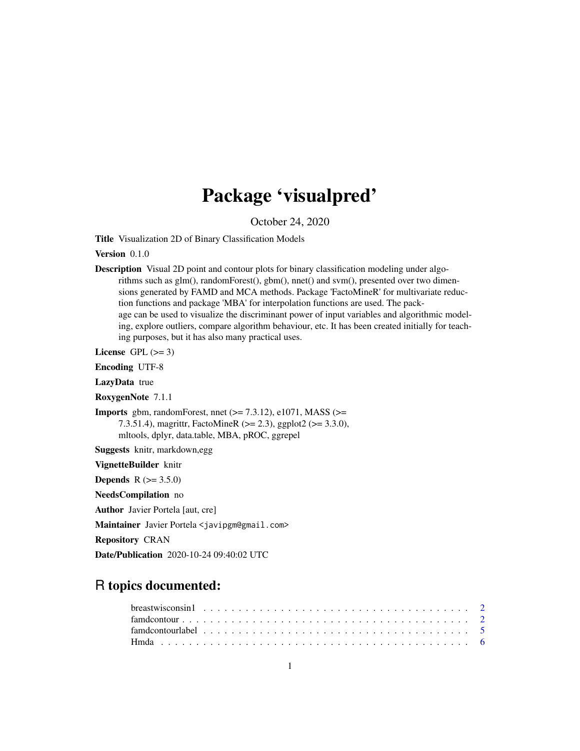# Package 'visualpred'

October 24, 2020

Title Visualization 2D of Binary Classification Models

Version 0.1.0

Description Visual 2D point and contour plots for binary classification modeling under algorithms such as glm(), randomForest(), gbm(), nnet() and svm(), presented over two dimensions generated by FAMD and MCA methods. Package 'FactoMineR' for multivariate reduction functions and package 'MBA' for interpolation functions are used. The package can be used to visualize the discriminant power of input variables and algorithmic modeling, explore outliers, compare algorithm behaviour, etc. It has been created initially for teaching purposes, but it has also many practical uses.

License GPL  $(>= 3)$ 

Encoding UTF-8

LazyData true

RoxygenNote 7.1.1

**Imports** gbm, randomForest, nnet  $(>= 7.3.12)$ , e1071, MASS  $(>=$ 7.3.51.4), magrittr, FactoMineR (>= 2.3), ggplot2 (>= 3.3.0), mltools, dplyr, data.table, MBA, pROC, ggrepel

Suggests knitr, markdown,egg

VignetteBuilder knitr

**Depends**  $R (= 3.5.0)$ 

NeedsCompilation no

Author Javier Portela [aut, cre]

Maintainer Javier Portela <javipgm@gmail.com>

Repository CRAN

Date/Publication 2020-10-24 09:40:02 UTC

# R topics documented: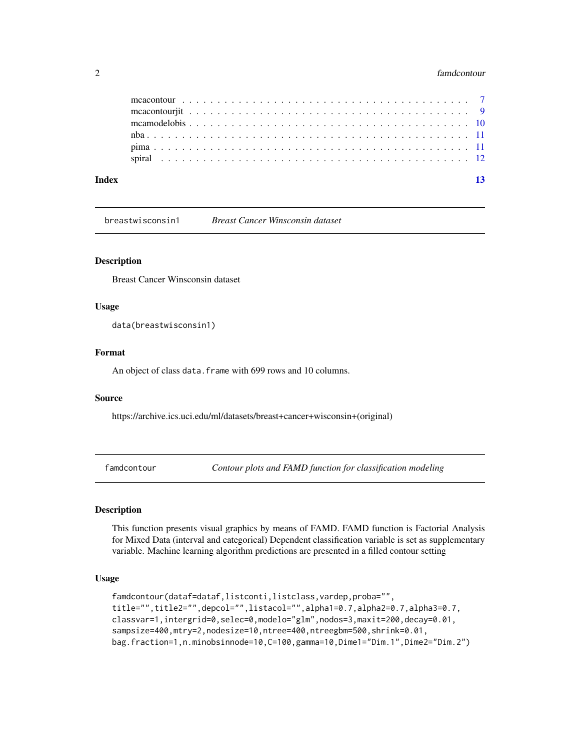#### <span id="page-1-0"></span>2 famdcontour contract to the contract of the contract of the contract of the contract of the contract of the contract of the contract of the contract of the contract of the contract of the contract of the contract of the

| Index |  |  |  |  |  |  |  |  |  |  |  |  |  |  |  |  |  |  | $\overline{13}$ |
|-------|--|--|--|--|--|--|--|--|--|--|--|--|--|--|--|--|--|--|-----------------|
|       |  |  |  |  |  |  |  |  |  |  |  |  |  |  |  |  |  |  |                 |
|       |  |  |  |  |  |  |  |  |  |  |  |  |  |  |  |  |  |  |                 |
|       |  |  |  |  |  |  |  |  |  |  |  |  |  |  |  |  |  |  |                 |
|       |  |  |  |  |  |  |  |  |  |  |  |  |  |  |  |  |  |  |                 |
|       |  |  |  |  |  |  |  |  |  |  |  |  |  |  |  |  |  |  |                 |
|       |  |  |  |  |  |  |  |  |  |  |  |  |  |  |  |  |  |  |                 |

breastwisconsin1 *Breast Cancer Winsconsin dataset*

# Description

Breast Cancer Winsconsin dataset

#### Usage

data(breastwisconsin1)

#### Format

An object of class data. frame with 699 rows and 10 columns.

#### Source

https://archive.ics.uci.edu/ml/datasets/breast+cancer+wisconsin+(original)

famdcontour *Contour plots and FAMD function for classification modeling*

#### Description

This function presents visual graphics by means of FAMD. FAMD function is Factorial Analysis for Mixed Data (interval and categorical) Dependent classification variable is set as supplementary variable. Machine learning algorithm predictions are presented in a filled contour setting

#### Usage

```
famdcontour(dataf=dataf,listconti,listclass,vardep,proba="",
title="",title2="",depcol="",listacol="",alpha1=0.7,alpha2=0.7,alpha3=0.7,
classvar=1,intergrid=0,selec=0,modelo="glm",nodos=3,maxit=200,decay=0.01,
sampsize=400,mtry=2,nodesize=10,ntree=400,ntreegbm=500,shrink=0.01,
bag.fraction=1,n.minobsinnode=10,C=100,gamma=10,Dime1="Dim.1",Dime2="Dim.2")
```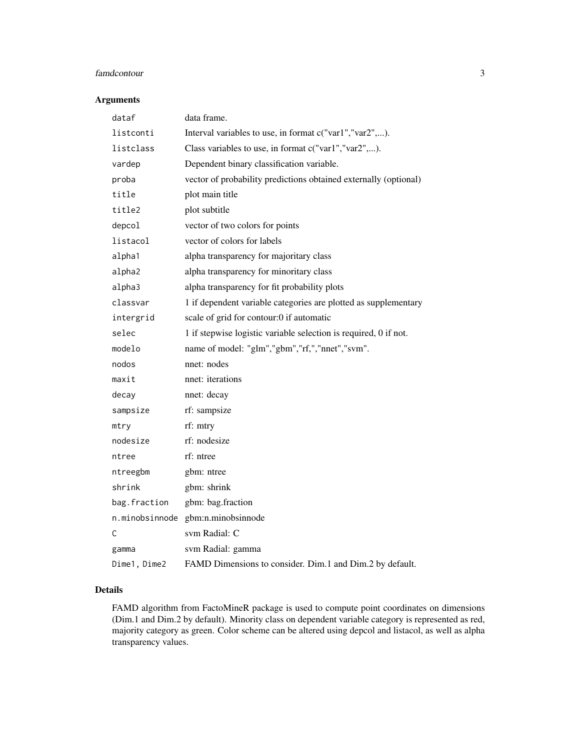# famdcontour 3

# Arguments

| dataf          | data frame.                                                      |
|----------------|------------------------------------------------------------------|
| listconti      | Interval variables to use, in format c("var1","var2",).          |
| listclass      | Class variables to use, in format c("var1","var2",).             |
| vardep         | Dependent binary classification variable.                        |
| proba          | vector of probability predictions obtained externally (optional) |
| title          | plot main title                                                  |
| title2         | plot subtitle                                                    |
| depcol         | vector of two colors for points                                  |
| listacol       | vector of colors for labels                                      |
| alpha1         | alpha transparency for majoritary class                          |
| alpha2         | alpha transparency for minoritary class                          |
| alpha3         | alpha transparency for fit probability plots                     |
| classvar       | 1 if dependent variable categories are plotted as supplementary  |
| intergrid      | scale of grid for contour:0 if automatic                         |
| selec          | 1 if stepwise logistic variable selection is required, 0 if not. |
| modelo         | name of model: "glm","gbm","rf,","nnet","svm".                   |
| nodos          | nnet: nodes                                                      |
| maxit          | nnet: iterations                                                 |
| decay          | nnet: decay                                                      |
| sampsize       | rf: sampsize                                                     |
| mtry           | rf: mtry                                                         |
| nodesize       | rf: nodesize                                                     |
| ntree          | rf: ntree                                                        |
| ntreegbm       | gbm: ntree                                                       |
| shrink         | gbm: shrink                                                      |
| bag.fraction   | gbm: bag.fraction                                                |
| n.minobsinnode | gbm:n.minobsinnode                                               |
| C              | sym Radial: C                                                    |
| gamma          | svm Radial: gamma                                                |
| Dime1, Dime2   | FAMD Dimensions to consider. Dim.1 and Dim.2 by default.         |

# Details

FAMD algorithm from FactoMineR package is used to compute point coordinates on dimensions (Dim.1 and Dim.2 by default). Minority class on dependent variable category is represented as red, majority category as green. Color scheme can be altered using depcol and listacol, as well as alpha transparency values.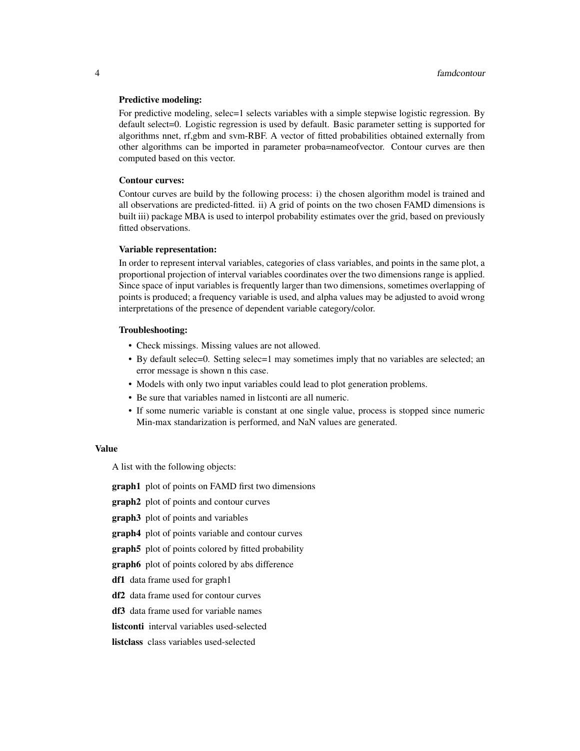#### Predictive modeling:

For predictive modeling, selec=1 selects variables with a simple stepwise logistic regression. By default select=0. Logistic regression is used by default. Basic parameter setting is supported for algorithms nnet, rf,gbm and svm-RBF. A vector of fitted probabilities obtained externally from other algorithms can be imported in parameter proba=nameofvector. Contour curves are then computed based on this vector.

#### Contour curves:

Contour curves are build by the following process: i) the chosen algorithm model is trained and all observations are predicted-fitted. ii) A grid of points on the two chosen FAMD dimensions is built iii) package MBA is used to interpol probability estimates over the grid, based on previously fitted observations.

#### Variable representation:

In order to represent interval variables, categories of class variables, and points in the same plot, a proportional projection of interval variables coordinates over the two dimensions range is applied. Since space of input variables is frequently larger than two dimensions, sometimes overlapping of points is produced; a frequency variable is used, and alpha values may be adjusted to avoid wrong interpretations of the presence of dependent variable category/color.

#### Troubleshooting:

- Check missings. Missing values are not allowed.
- By default selec=0. Setting selec=1 may sometimes imply that no variables are selected; an error message is shown n this case.
- Models with only two input variables could lead to plot generation problems.
- Be sure that variables named in listconti are all numeric.
- If some numeric variable is constant at one single value, process is stopped since numeric Min-max standarization is performed, and NaN values are generated.

#### Value

A list with the following objects:

**graph1** plot of points on FAMD first two dimensions

**graph2** plot of points and contour curves

graph3 plot of points and variables

graph4 plot of points variable and contour curves

**graph5** plot of points colored by fitted probability

graph6 plot of points colored by abs difference

df1 data frame used for graph1

df2 data frame used for contour curves

df3 data frame used for variable names

listconti interval variables used-selected

listclass class variables used-selected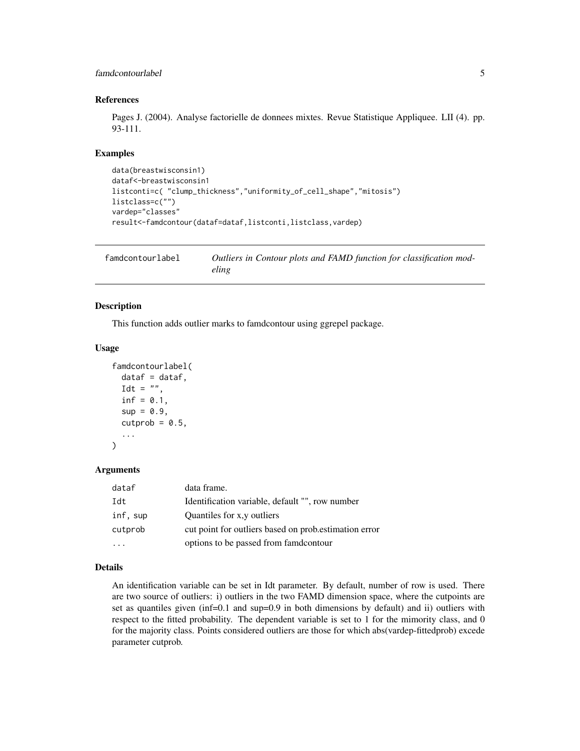# <span id="page-4-0"></span>famdcontourlabel 5

#### References

Pages J. (2004). Analyse factorielle de donnees mixtes. Revue Statistique Appliquee. LII (4). pp. 93-111.

#### Examples

```
data(breastwisconsin1)
dataf<-breastwisconsin1
listconti=c( "clump_thickness","uniformity_of_cell_shape","mitosis")
listclass=c("")
vardep="classes"
result<-famdcontour(dataf=dataf,listconti,listclass,vardep)
```

| famdcontourlabel | Outliers in Contour plots and FAMD function for classification mod- |
|------------------|---------------------------------------------------------------------|
|                  | eling                                                               |

#### Description

This function adds outlier marks to famdcontour using ggrepel package.

#### Usage

```
famdcontourlabel(
  dataf = dataf,
  \text{Idt} = "",
  inf = 0.1,
  sup = 0.9,
  cutprob = 0.5,
  ...
)
```
#### Arguments

| dataf    | data frame.                                            |
|----------|--------------------------------------------------------|
| Idt      | Identification variable, default "", row number        |
| inf, sup | Quantiles for x,y outliers                             |
| cutprob  | cut point for outliers based on prob. estimation error |
|          | options to be passed from family and option            |

# Details

An identification variable can be set in Idt parameter. By default, number of row is used. There are two source of outliers: i) outliers in the two FAMD dimension space, where the cutpoints are set as quantiles given (inf=0.1 and sup=0.9 in both dimensions by default) and ii) outliers with respect to the fitted probability. The dependent variable is set to 1 for the mimority class, and 0 for the majority class. Points considered outliers are those for which abs(vardep-fittedprob) excede parameter cutprob.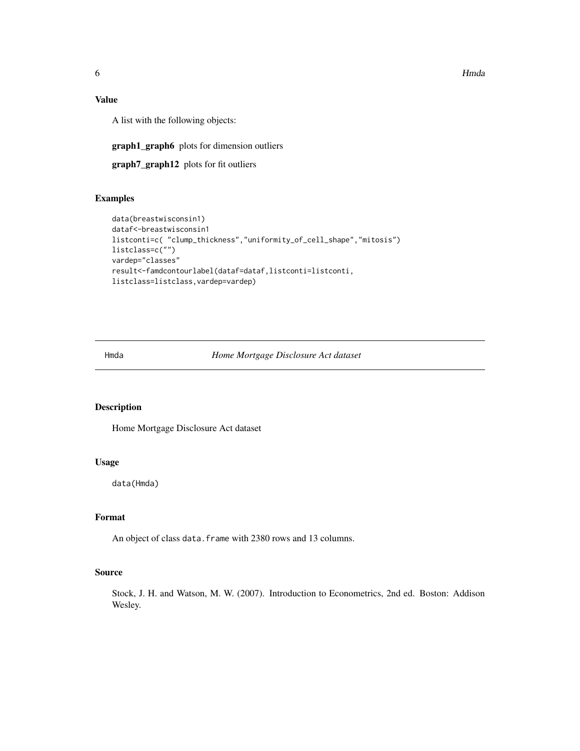<span id="page-5-0"></span>6 and the contract of the contract of the contract of the contract of the contract of the contract of the contract of the contract of the contract of the contract of the contract of the contract of the contract of the cont

# Value

A list with the following objects:

graph1\_graph6 plots for dimension outliers

graph7\_graph12 plots for fit outliers

# Examples

```
data(breastwisconsin1)
dataf<-breastwisconsin1
listconti=c( "clump_thickness","uniformity_of_cell_shape","mitosis")
listclass=c("")
vardep="classes"
result<-famdcontourlabel(dataf=dataf,listconti=listconti,
listclass=listclass,vardep=vardep)
```
Hmda *Home Mortgage Disclosure Act dataset*

# Description

Home Mortgage Disclosure Act dataset

### Usage

data(Hmda)

# Format

An object of class data. frame with 2380 rows and 13 columns.

#### Source

Stock, J. H. and Watson, M. W. (2007). Introduction to Econometrics, 2nd ed. Boston: Addison Wesley.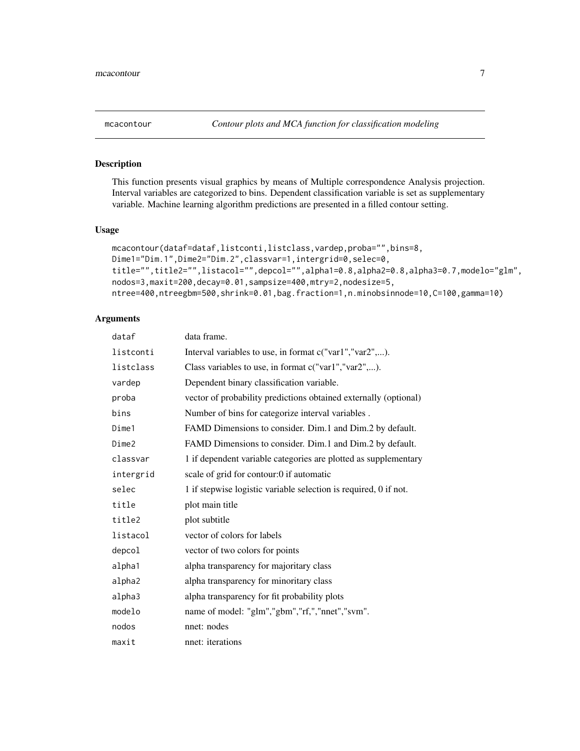This function presents visual graphics by means of Multiple correspondence Analysis projection. Interval variables are categorized to bins. Dependent classification variable is set as supplementary variable. Machine learning algorithm predictions are presented in a filled contour setting.

#### Usage

```
mcacontour(dataf=dataf,listconti,listclass,vardep,proba="",bins=8,
Dime1="Dim.1",Dime2="Dim.2",classvar=1,intergrid=0,selec=0,
title="",title2="",listacol="",depcol="",alpha1=0.8,alpha2=0.8,alpha3=0.7,modelo="glm",
nodos=3,maxit=200,decay=0.01,sampsize=400,mtry=2,nodesize=5,
ntree=400,ntreegbm=500,shrink=0.01,bag.fraction=1,n.minobsinnode=10,C=100,gamma=10)
```
# Arguments

| dataf     | data frame.                                                      |
|-----------|------------------------------------------------------------------|
| listconti | Interval variables to use, in format c("var1","var2",).          |
| listclass | Class variables to use, in format c("var1","var2",).             |
| vardep    | Dependent binary classification variable.                        |
| proba     | vector of probability predictions obtained externally (optional) |
| bins      | Number of bins for categorize interval variables.                |
| Dime1     | FAMD Dimensions to consider. Dim.1 and Dim.2 by default.         |
| Dime2     | FAMD Dimensions to consider. Dim.1 and Dim.2 by default.         |
| classvar  | 1 if dependent variable categories are plotted as supplementary  |
| intergrid | scale of grid for contour:0 if automatic                         |
| selec     | 1 if stepwise logistic variable selection is required, 0 if not. |
| title     | plot main title                                                  |
| title2    | plot subtitle                                                    |
| listacol  | vector of colors for labels                                      |
| depcol    | vector of two colors for points                                  |
| alpha1    | alpha transparency for majoritary class                          |
| alpha2    | alpha transparency for minoritary class                          |
| alpha3    | alpha transparency for fit probability plots                     |
| modelo    | name of model: "glm","gbm","rf,","nnet","svm".                   |
| nodos     | nnet: nodes                                                      |
| maxit     | nnet: iterations                                                 |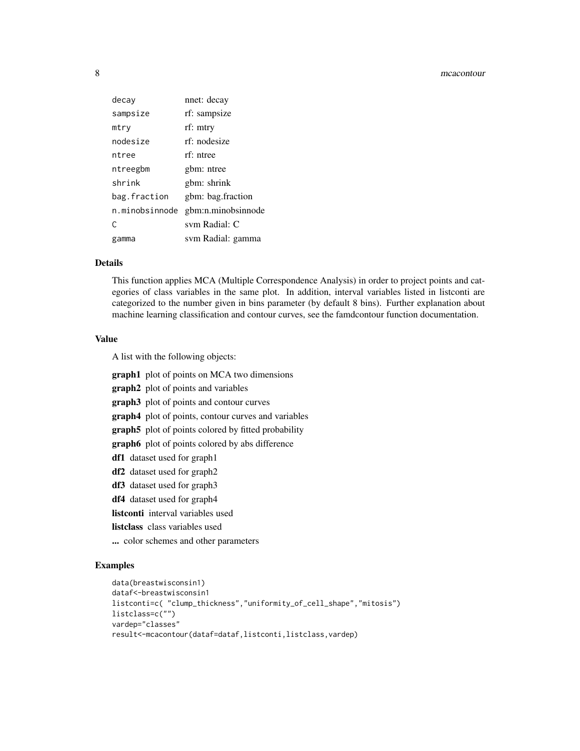#### 8 mcacontour contract to the contract of the contract of the contract of the contract of the contract of the contract of the contract of the contract of the contract of the contract of the contract of the contract of the c

| decay          | nnet: decay        |
|----------------|--------------------|
| sampsize       | rf: sampsize       |
| mtry           | rf: mtry           |
| nodesize       | rf: nodesize       |
| ntree          | rf: ntree          |
| ntreegbm       | gbm: ntree         |
| shrink         | gbm: shrink        |
| bag.fraction   | gbm: bag.fraction  |
| n.minobsinnode | gbm:n.minobsinnode |
| C              | svm Radial: C      |
| gamma          | svm Radial: gamma  |

#### Details

This function applies MCA (Multiple Correspondence Analysis) in order to project points and categories of class variables in the same plot. In addition, interval variables listed in listconti are categorized to the number given in bins parameter (by default 8 bins). Further explanation about machine learning classification and contour curves, see the famdcontour function documentation.

#### Value

A list with the following objects:

graph1 plot of points on MCA two dimensions

graph2 plot of points and variables

graph3 plot of points and contour curves

graph4 plot of points, contour curves and variables

graph5 plot of points colored by fitted probability

graph6 plot of points colored by abs difference

- df1 dataset used for graph1
- df2 dataset used for graph2
- df3 dataset used for graph3
- df4 dataset used for graph4

listconti interval variables used

- listclass class variables used
- ... color schemes and other parameters

#### Examples

```
data(breastwisconsin1)
dataf<-breastwisconsin1
listconti=c( "clump_thickness","uniformity_of_cell_shape","mitosis")
listclass=c("")
vardep="classes"
result<-mcacontour(dataf=dataf,listconti,listclass,vardep)
```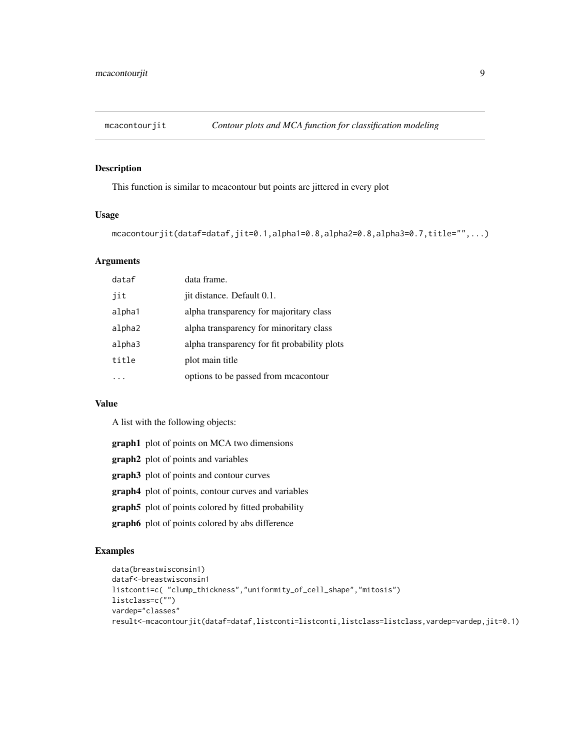<span id="page-8-0"></span>

This function is similar to mcacontour but points are jittered in every plot

# Usage

mcacontourjit(dataf=dataf,jit=0.1,alpha1=0.8,alpha2=0.8,alpha3=0.7,title="",...)

# Arguments

| dataf  | data frame.                                  |
|--------|----------------------------------------------|
| iit    | jit distance. Default 0.1.                   |
| alpha1 | alpha transparency for majoritary class      |
| alpha2 | alpha transparency for minoritary class      |
| alpha3 | alpha transparency for fit probability plots |
| title  | plot main title                              |
|        | options to be passed from meacontour         |
|        |                                              |

#### Value

A list with the following objects:

|  |  |  |  |  | <b>graph1</b> plot of points on MCA two dimensions |
|--|--|--|--|--|----------------------------------------------------|
|--|--|--|--|--|----------------------------------------------------|

- graph2 plot of points and variables
- graph3 plot of points and contour curves
- graph4 plot of points, contour curves and variables
- graph5 plot of points colored by fitted probability
- graph6 plot of points colored by abs difference

#### Examples

```
data(breastwisconsin1)
dataf<-breastwisconsin1
listconti=c( "clump_thickness","uniformity_of_cell_shape","mitosis")
listclass=c("")
vardep="classes"
result<-mcacontourjit(dataf=dataf,listconti=listconti,listclass=listclass,vardep=vardep,jit=0.1)
```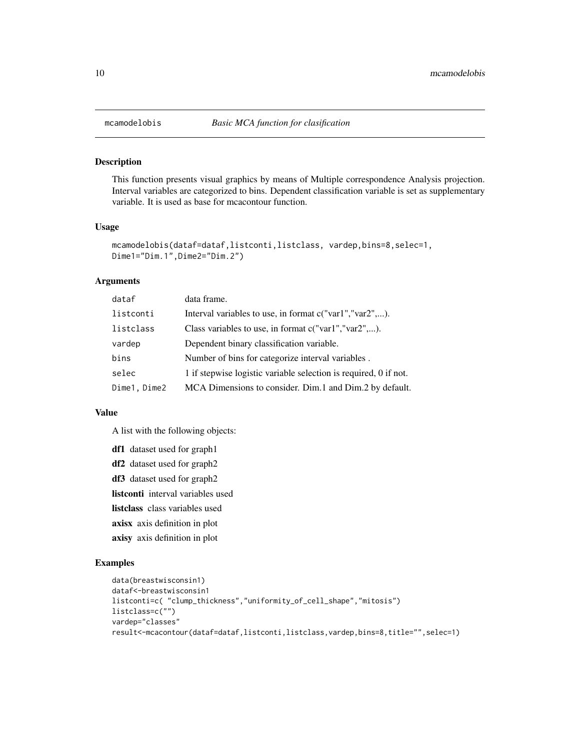This function presents visual graphics by means of Multiple correspondence Analysis projection. Interval variables are categorized to bins. Dependent classification variable is set as supplementary variable. It is used as base for mcacontour function.

#### Usage

```
mcamodelobis(dataf=dataf,listconti,listclass, vardep,bins=8,selec=1,
Dime1="Dim.1",Dime2="Dim.2")
```
# Arguments

| dataf        | data frame.                                                      |
|--------------|------------------------------------------------------------------|
| listconti    | Interval variables to use, in format c("var1","var2",).          |
| listclass    | Class variables to use, in format $c("var1", "var2", \ldots)$ .  |
| vardep       | Dependent binary classification variable.                        |
| bins         | Number of bins for categorize interval variables.                |
| selec        | 1 if stepwise logistic variable selection is required, 0 if not. |
| Dime1, Dime2 | MCA Dimensions to consider. Dim.1 and Dim.2 by default.          |

#### Value

A list with the following objects:

```
df1 dataset used for graph1
df2 dataset used for graph2
df3 dataset used for graph2
listconti interval variables used
listclass class variables used
axisx axis definition in plot
axisy axis definition in plot
```
# Examples

```
data(breastwisconsin1)
dataf<-breastwisconsin1
listconti=c( "clump_thickness","uniformity_of_cell_shape","mitosis")
listclass=c("")
vardep="classes"
result<-mcacontour(dataf=dataf,listconti,listclass,vardep,bins=8,title="",selec=1)
```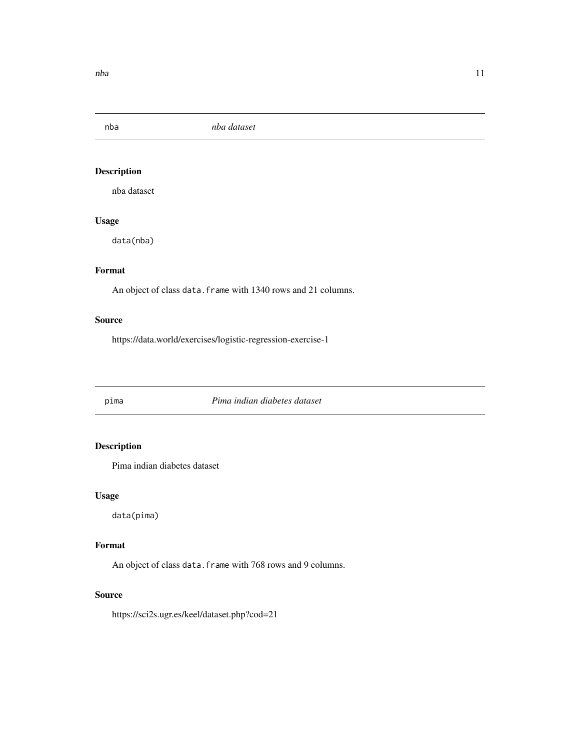<span id="page-10-0"></span>nba *nba dataset*

# Description

nba dataset

# Usage

data(nba)

# Format

An object of class data. frame with 1340 rows and 21 columns.

# Source

https://data.world/exercises/logistic-regression-exercise-1

pima *Pima indian diabetes dataset*

# Description

Pima indian diabetes dataset

#### Usage

data(pima)

# Format

An object of class data. frame with 768 rows and 9 columns.

## Source

https://sci2s.ugr.es/keel/dataset.php?cod=21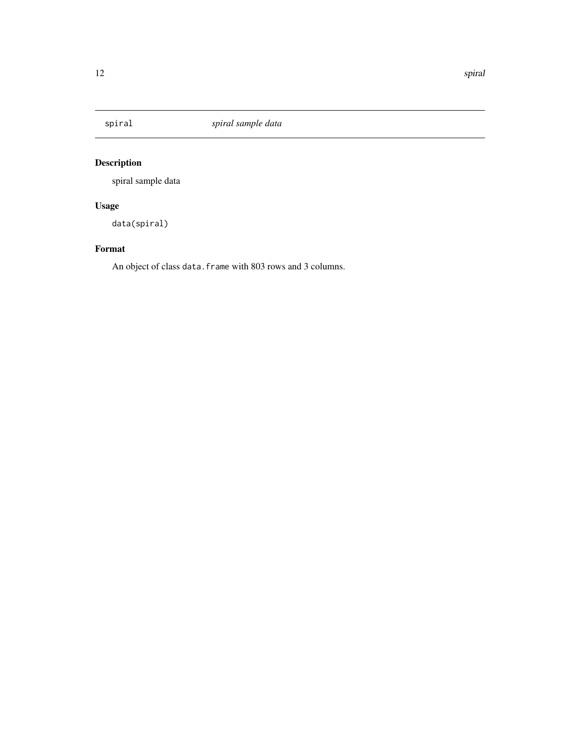<span id="page-11-0"></span>

spiral sample data

# Usage

data(spiral)

# Format

An object of class data.frame with 803 rows and 3 columns.